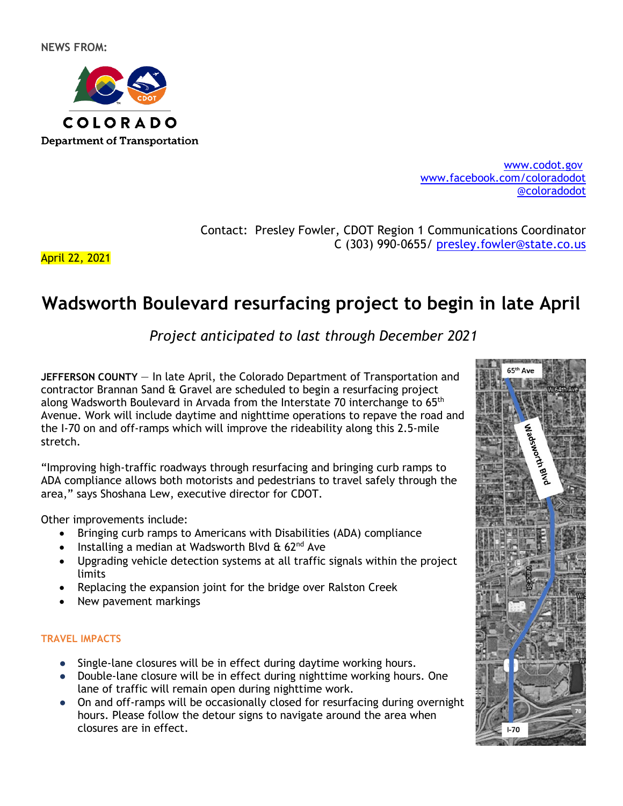

[www.codot.gov](http://www.coloradodot.info/) [www.facebook.com/coloradodot](http://www.facebook.com/coloradodot) [@coloradodot](https://twitter.com/ColoradoDOT)

Contact: Presley Fowler, CDOT Region 1 Communications Coordinator C (303) 990-0655/ [presley.fowler@state.co.us](mailto:presley.fowler@state.co.us)

April 22, 2021

# **Wadsworth Boulevard resurfacing project to begin in late April**

*Project anticipated to last through December 2021*

**JEFFERSON COUNTY** — In late April, the Colorado Department of Transportation and contractor Brannan Sand & Gravel are scheduled to begin a resurfacing project along Wadsworth Boulevard in Arvada from the Interstate 70 interchange to  $65<sup>th</sup>$ Avenue. Work will include daytime and nighttime operations to repave the road and the I-70 on and off-ramps which will improve the rideability along this 2.5-mile stretch.

"Improving high-traffic roadways through resurfacing and bringing curb ramps to ADA compliance allows both motorists and pedestrians to travel safely through the area," says Shoshana Lew, executive director for CDOT.

Other improvements include:

- Bringing curb ramps to Americans with Disabilities (ADA) compliance
- Installing a median at Wadsworth Blvd  $\&$  62<sup>nd</sup> Ave
- Upgrading vehicle detection systems at all traffic signals within the project limits
- Replacing the expansion joint for the bridge over Ralston Creek
- New pavement markings

### **TRAVEL IMPACTS**

- Single-lane closures will be in effect during daytime working hours.
- Double-lane closure will be in effect during nighttime working hours. One lane of traffic will remain open during nighttime work.
- On and off-ramps will be occasionally closed for resurfacing during overnight hours. Please follow the detour signs to navigate around the area when closures are in effect.